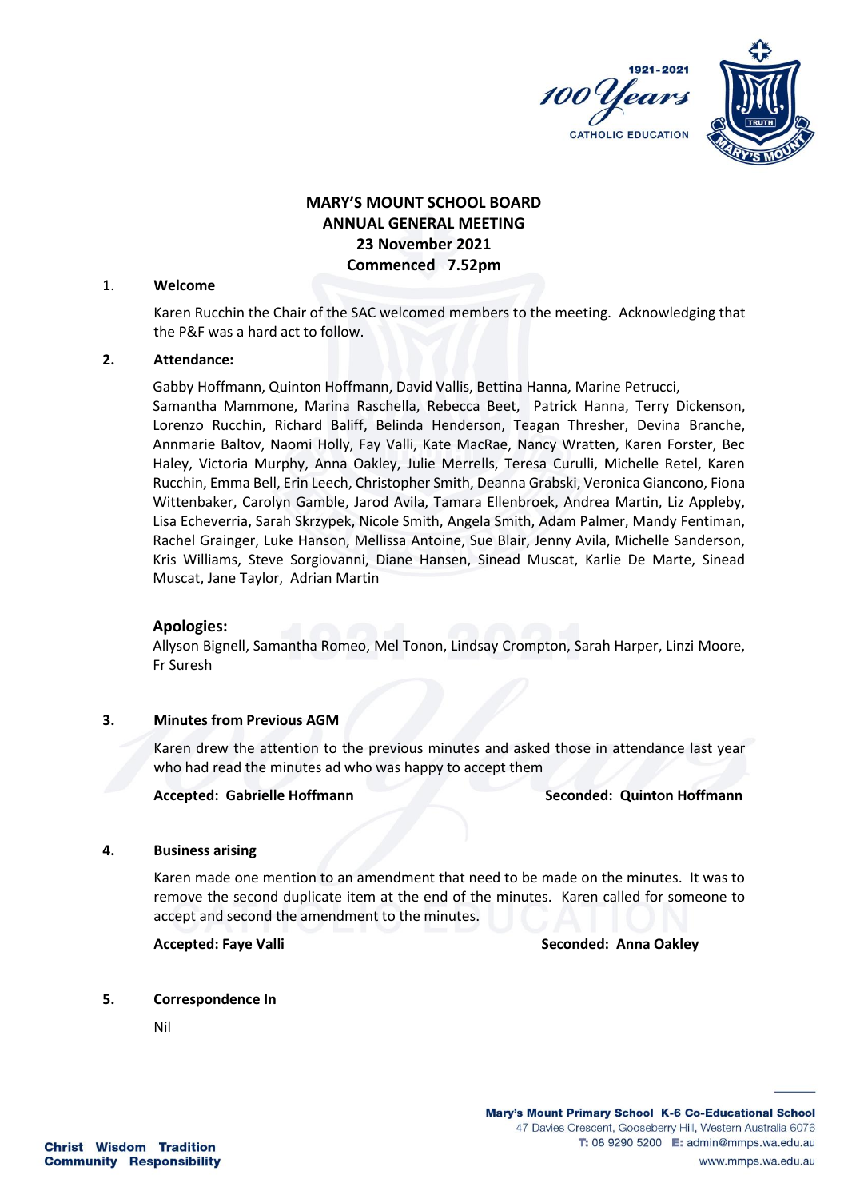



# **MARY'S MOUNT SCHOOL BOARD ANNUAL GENERAL MEETING 23 November 2021 Commenced 7.52pm**

#### 1. **Welcome**

Karen Rucchin the Chair of the SAC welcomed members to the meeting. Acknowledging that the P&F was a hard act to follow.

## **2. Attendance:**

Gabby Hoffmann, Quinton Hoffmann, David Vallis, Bettina Hanna, Marine Petrucci, Samantha Mammone, Marina Raschella, Rebecca Beet, Patrick Hanna, Terry Dickenson, Lorenzo Rucchin, Richard Baliff, Belinda Henderson, Teagan Thresher, Devina Branche, Annmarie Baltov, Naomi Holly, Fay Valli, Kate MacRae, Nancy Wratten, Karen Forster, Bec Haley, Victoria Murphy, Anna Oakley, Julie Merrells, Teresa Curulli, Michelle Retel, Karen Rucchin, Emma Bell, Erin Leech, Christopher Smith, Deanna Grabski, Veronica Giancono, Fiona Wittenbaker, Carolyn Gamble, Jarod Avila, Tamara Ellenbroek, Andrea Martin, Liz Appleby, Lisa Echeverria, Sarah Skrzypek, Nicole Smith, Angela Smith, Adam Palmer, Mandy Fentiman, Rachel Grainger, Luke Hanson, Mellissa Antoine, Sue Blair, Jenny Avila, Michelle Sanderson, Kris Williams, Steve Sorgiovanni, Diane Hansen, Sinead Muscat, Karlie De Marte, Sinead Muscat, Jane Taylor, Adrian Martin

## **Apologies:**

Allyson Bignell, Samantha Romeo, Mel Tonon, Lindsay Crompton, Sarah Harper, Linzi Moore, Fr Suresh

## **3. Minutes from Previous AGM**

Karen drew the attention to the previous minutes and asked those in attendance last year who had read the minutes ad who was happy to accept them

**Accepted: Gabrielle Hoffmann Seconded: Quinton Hoffmann**

#### **4. Business arising**

Karen made one mention to an amendment that need to be made on the minutes. It was to remove the second duplicate item at the end of the minutes. Karen called for someone to accept and second the amendment to the minutes.

**Accepted: Faye Valli Seconded: Anna Oakley** 

#### **5. Correspondence In**

Nil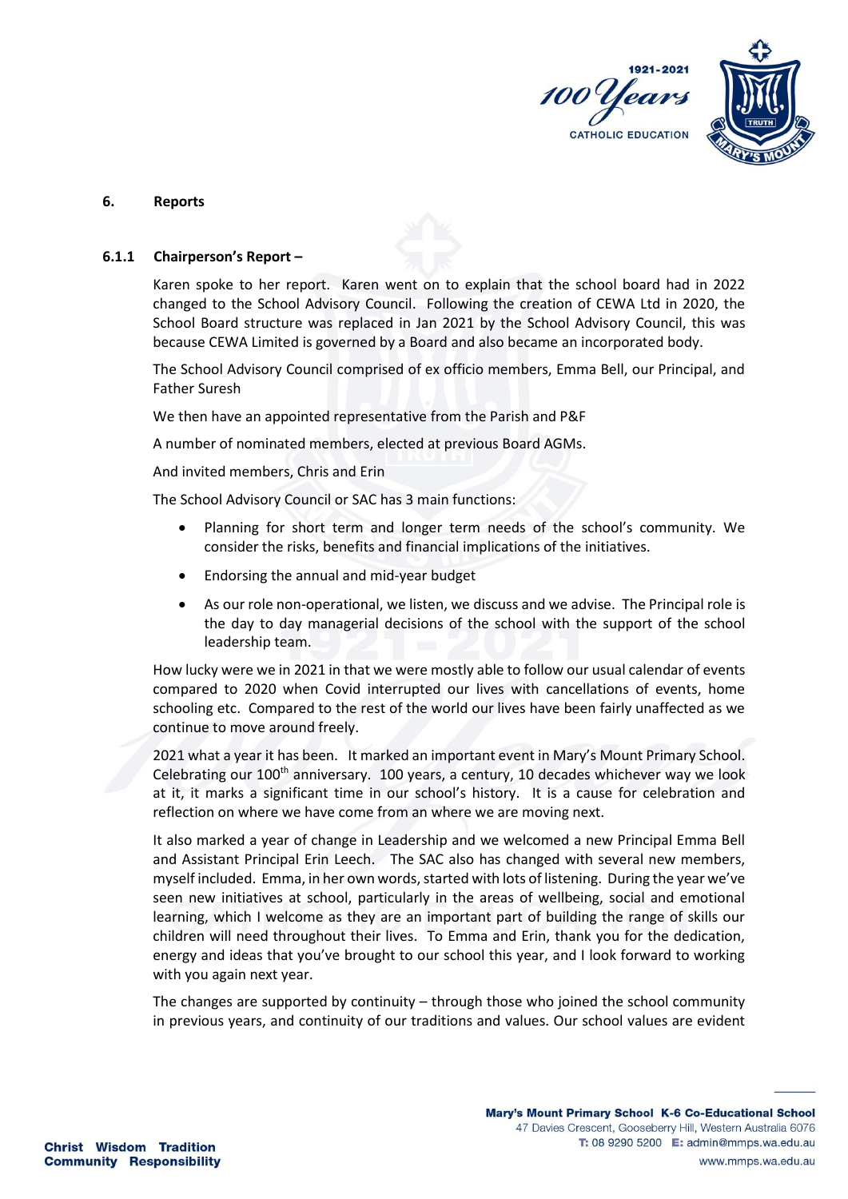

#### **6. Reports**

#### **6.1.1 Chairperson's Report –**

Karen spoke to her report. Karen went on to explain that the school board had in 2022 changed to the School Advisory Council. Following the creation of CEWA Ltd in 2020, the School Board structure was replaced in Jan 2021 by the School Advisory Council, this was because CEWA Limited is governed by a Board and also became an incorporated body.

The School Advisory Council comprised of ex officio members, Emma Bell, our Principal, and Father Suresh

We then have an appointed representative from the Parish and P&F

A number of nominated members, elected at previous Board AGMs.

And invited members, Chris and Erin

The School Advisory Council or SAC has 3 main functions:

- Planning for short term and longer term needs of the school's community. We consider the risks, benefits and financial implications of the initiatives.
- Endorsing the annual and mid-year budget
- As our role non-operational, we listen, we discuss and we advise. The Principal role is the day to day managerial decisions of the school with the support of the school leadership team.

How lucky were we in 2021 in that we were mostly able to follow our usual calendar of events compared to 2020 when Covid interrupted our lives with cancellations of events, home schooling etc. Compared to the rest of the world our lives have been fairly unaffected as we continue to move around freely.

2021 what a year it has been. It marked an important event in Mary's Mount Primary School. Celebrating our  $100<sup>th</sup>$  anniversary. 100 years, a century, 10 decades whichever way we look at it, it marks a significant time in our school's history. It is a cause for celebration and reflection on where we have come from an where we are moving next.

It also marked a year of change in Leadership and we welcomed a new Principal Emma Bell and Assistant Principal Erin Leech. The SAC also has changed with several new members, myself included. Emma, in her own words, started with lots of listening. During the year we've seen new initiatives at school, particularly in the areas of wellbeing, social and emotional learning, which I welcome as they are an important part of building the range of skills our children will need throughout their lives. To Emma and Erin, thank you for the dedication, energy and ideas that you've brought to our school this year, and I look forward to working with you again next year.

The changes are supported by continuity – through those who joined the school community in previous years, and continuity of our traditions and values. Our school values are evident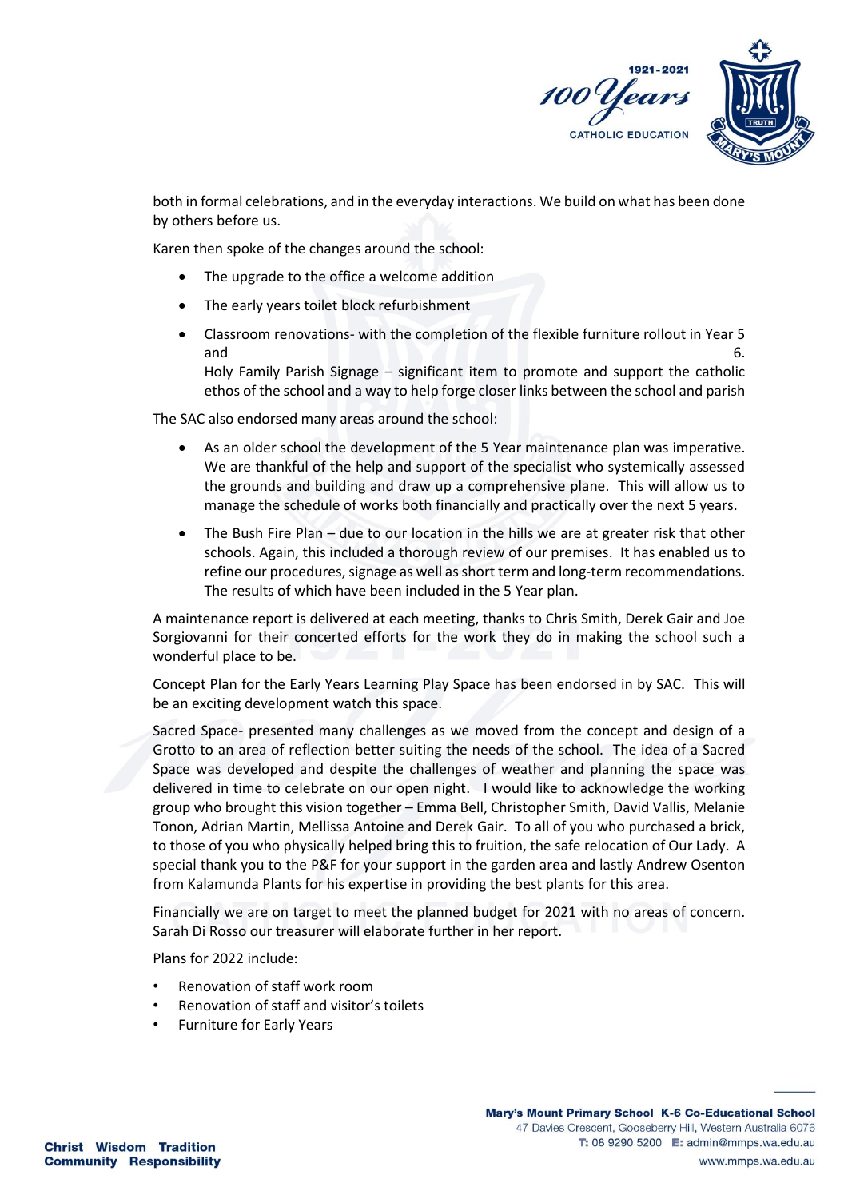

both in formal celebrations, and in the everyday interactions. We build on what has been done by others before us.

Karen then spoke of the changes around the school:

- The upgrade to the office a welcome addition
- The early years toilet block refurbishment
- Classroom renovations- with the completion of the flexible furniture rollout in Year 5 and 6. Holy Family Parish Signage – significant item to promote and support the catholic ethos of the school and a way to help forge closer links between the school and parish

The SAC also endorsed many areas around the school:

- As an older school the development of the 5 Year maintenance plan was imperative. We are thankful of the help and support of the specialist who systemically assessed the grounds and building and draw up a comprehensive plane. This will allow us to manage the schedule of works both financially and practically over the next 5 years.
- The Bush Fire Plan due to our location in the hills we are at greater risk that other schools. Again, this included a thorough review of our premises. It has enabled us to refine our procedures, signage as well as short term and long-term recommendations. The results of which have been included in the 5 Year plan.

A maintenance report is delivered at each meeting, thanks to Chris Smith, Derek Gair and Joe Sorgiovanni for their concerted efforts for the work they do in making the school such a wonderful place to be.

Concept Plan for the Early Years Learning Play Space has been endorsed in by SAC. This will be an exciting development watch this space.

Sacred Space- presented many challenges as we moved from the concept and design of a Grotto to an area of reflection better suiting the needs of the school. The idea of a Sacred Space was developed and despite the challenges of weather and planning the space was delivered in time to celebrate on our open night. I would like to acknowledge the working group who brought this vision together – Emma Bell, Christopher Smith, David Vallis, Melanie Tonon, Adrian Martin, Mellissa Antoine and Derek Gair. To all of you who purchased a brick, to those of you who physically helped bring this to fruition, the safe relocation of Our Lady. A special thank you to the P&F for your support in the garden area and lastly Andrew Osenton from Kalamunda Plants for his expertise in providing the best plants for this area.

Financially we are on target to meet the planned budget for 2021 with no areas of concern. Sarah Di Rosso our treasurer will elaborate further in her report.

Plans for 2022 include:

- Renovation of staff work room
- Renovation of staff and visitor's toilets
- Furniture for Early Years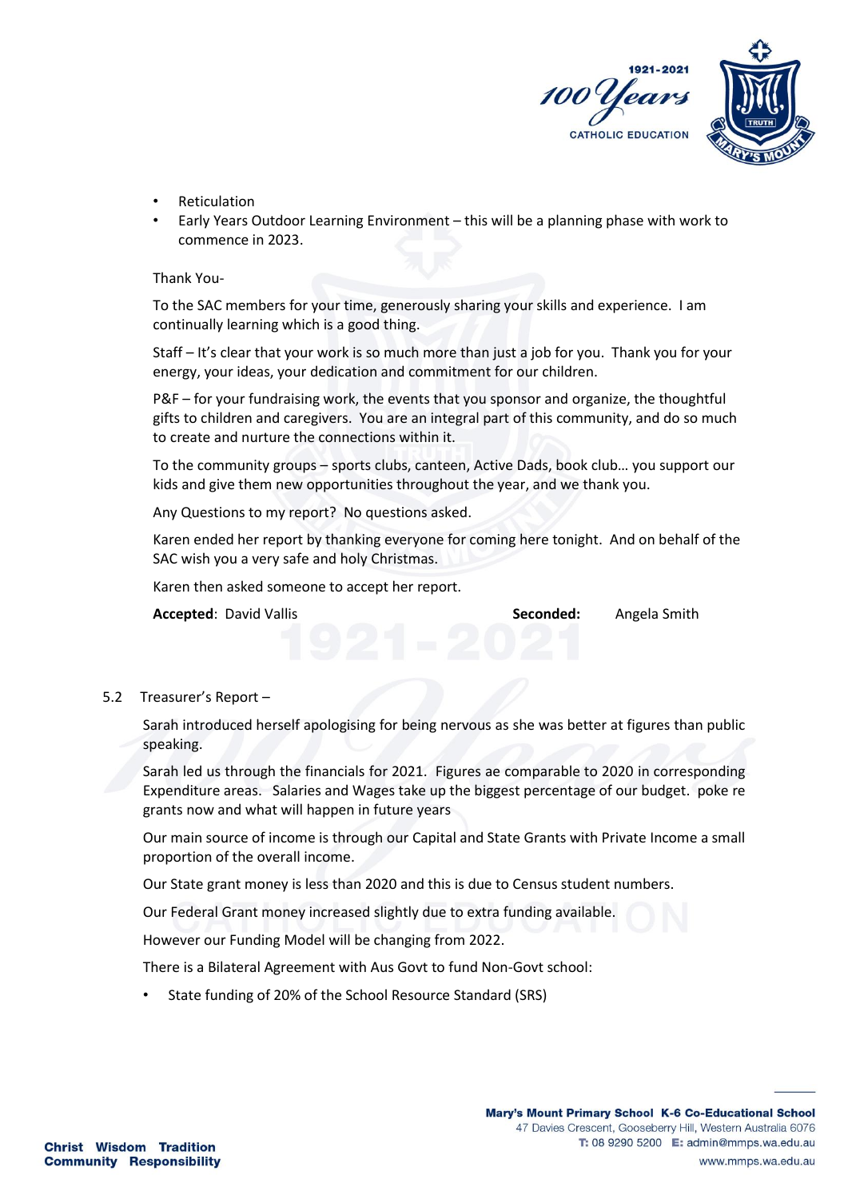

- Reticulation
- Early Years Outdoor Learning Environment this will be a planning phase with work to commence in 2023.

Thank You-

To the SAC members for your time, generously sharing your skills and experience. I am continually learning which is a good thing.

Staff – It's clear that your work is so much more than just a job for you. Thank you for your energy, your ideas, your dedication and commitment for our children.

P&F – for your fundraising work, the events that you sponsor and organize, the thoughtful gifts to children and caregivers. You are an integral part of this community, and do so much to create and nurture the connections within it.

To the community groups – sports clubs, canteen, Active Dads, book club… you support our kids and give them new opportunities throughout the year, and we thank you.

Any Questions to my report? No questions asked.

Karen ended her report by thanking everyone for coming here tonight. And on behalf of the SAC wish you a very safe and holy Christmas.

Karen then asked someone to accept her report.

**Accepted**: David Vallis **Seconded:** Angela Smith

## 5.2 Treasurer's Report –

Sarah introduced herself apologising for being nervous as she was better at figures than public speaking.

Sarah led us through the financials for 2021. Figures ae comparable to 2020 in corresponding Expenditure areas. Salaries and Wages take up the biggest percentage of our budget. poke re grants now and what will happen in future years

Our main source of income is through our Capital and State Grants with Private Income a small proportion of the overall income.

Our State grant money is less than 2020 and this is due to Census student numbers.

Our Federal Grant money increased slightly due to extra funding available.

However our Funding Model will be changing from 2022.

There is a Bilateral Agreement with Aus Govt to fund Non-Govt school:

• State funding of 20% of the School Resource Standard (SRS)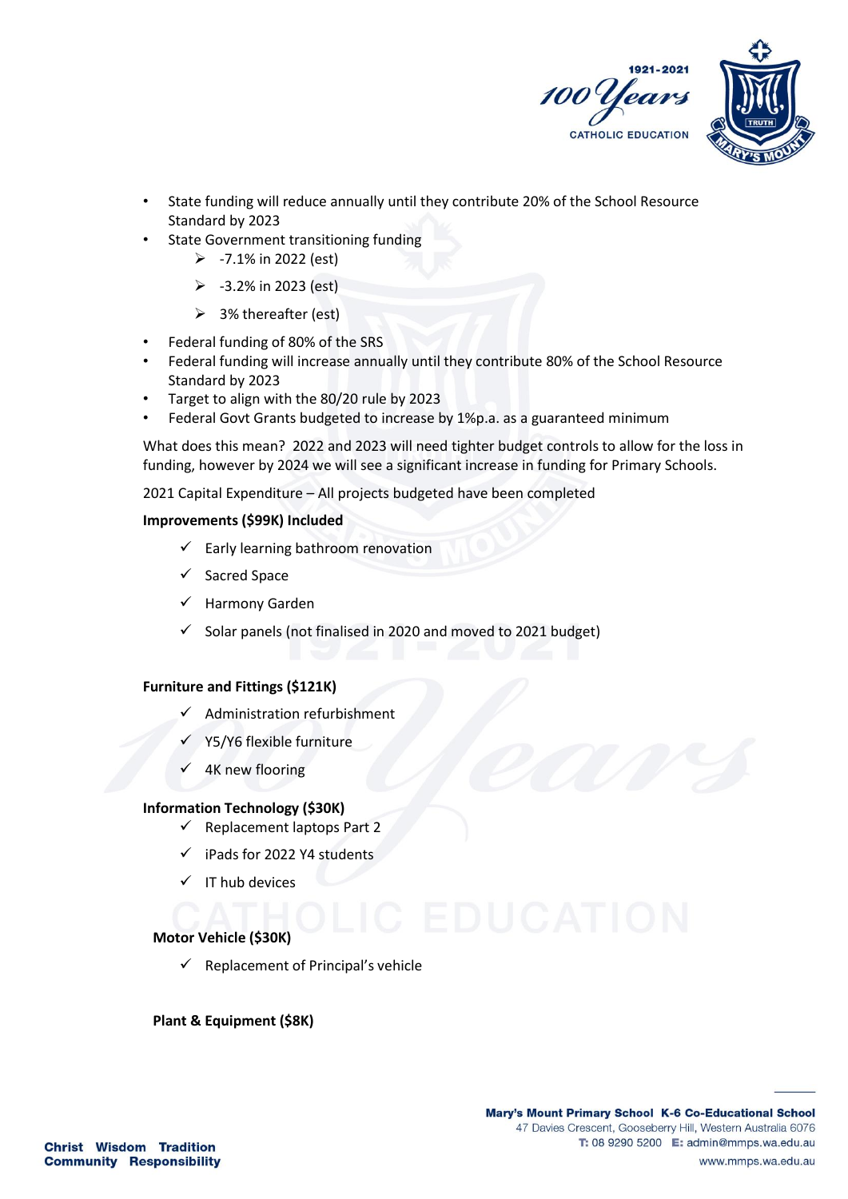

- State funding will reduce annually until they contribute 20% of the School Resource Standard by 2023
- State Government transitioning funding
	- $> -7.1\%$  in 2022 (est)
	- $\geq$  -3.2% in 2023 (est)
	- $\geq$  3% thereafter (est)
- Federal funding of 80% of the SRS
- Federal funding will increase annually until they contribute 80% of the School Resource Standard by 2023
- Target to align with the 80/20 rule by 2023
- Federal Govt Grants budgeted to increase by 1%p.a. as a guaranteed minimum

What does this mean? 2022 and 2023 will need tighter budget controls to allow for the loss in funding, however by 2024 we will see a significant increase in funding for Primary Schools.

2021 Capital Expenditure – All projects budgeted have been completed

## **Improvements (\$99K) Included**

- $\checkmark$  Early learning bathroom renovation
- ✓ Sacred Space
- Harmony Garden
- $\checkmark$  Solar panels (not finalised in 2020 and moved to 2021 budget)

## **Furniture and Fittings (\$121K)**

- ✓ Administration refurbishment
- Y5/Y6 flexible furniture
- 4K new flooring

## **Information Technology (\$30K)**

- ✓ Replacement laptops Part 2
- iPads for 2022 Y4 students
- ✓ IT hub devices

# **Motor Vehicle (\$30K)**

 $\checkmark$  Replacement of Principal's vehicle

## **Plant & Equipment (\$8K)**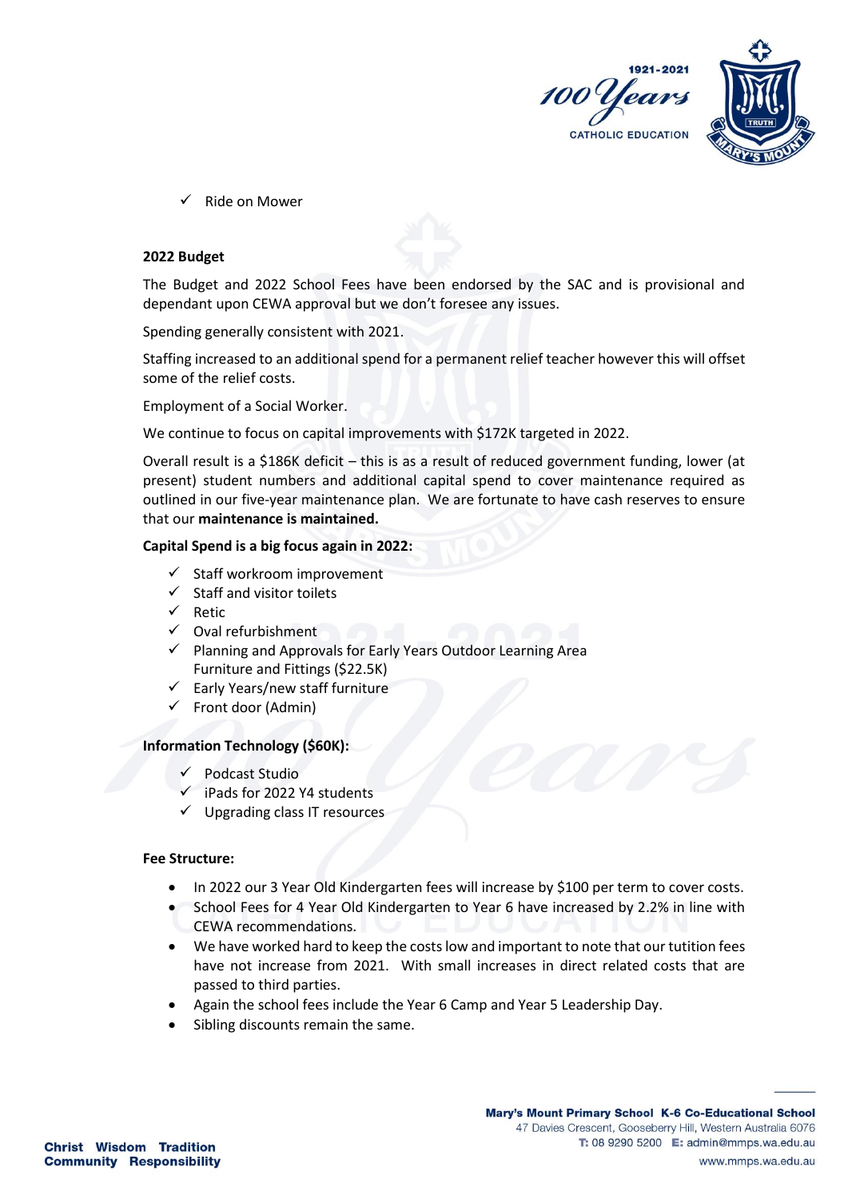

Ride on Mower

#### **2022 Budget**

The Budget and 2022 School Fees have been endorsed by the SAC and is provisional and dependant upon CEWA approval but we don't foresee any issues.

Spending generally consistent with 2021.

Staffing increased to an additional spend for a permanent relief teacher however this will offset some of the relief costs.

Employment of a Social Worker.

We continue to focus on capital improvements with \$172K targeted in 2022.

Overall result is a \$186K deficit – this is as a result of reduced government funding, lower (at present) student numbers and additional capital spend to cover maintenance required as outlined in our five-year maintenance plan. We are fortunate to have cash reserves to ensure that our **maintenance is maintained.**

#### **Capital Spend is a big focus again in 2022:**

- ✓ Staff workroom improvement
- ✓ Staff and visitor toilets
- ✓ Retic
- ✓ Oval refurbishment
- ✓ Planning and Approvals for Early Years Outdoor Learning Area Furniture and Fittings (\$22.5K)
- $\checkmark$  Early Years/new staff furniture
- ✓ Front door (Admin)

#### **Information Technology (\$60K):**

- ✓ Podcast Studio
- iPads for 2022 Y4 students
- ✓ Upgrading class IT resources

#### **Fee Structure:**

- In 2022 our 3 Year Old Kindergarten fees will increase by \$100 per term to cover costs.
- School Fees for 4 Year Old Kindergarten to Year 6 have increased by 2.2% in line with CEWA recommendations.
- We have worked hard to keep the costs low and important to note that our tutition fees have not increase from 2021. With small increases in direct related costs that are passed to third parties.
- Again the school fees include the Year 6 Camp and Year 5 Leadership Day.
- Sibling discounts remain the same.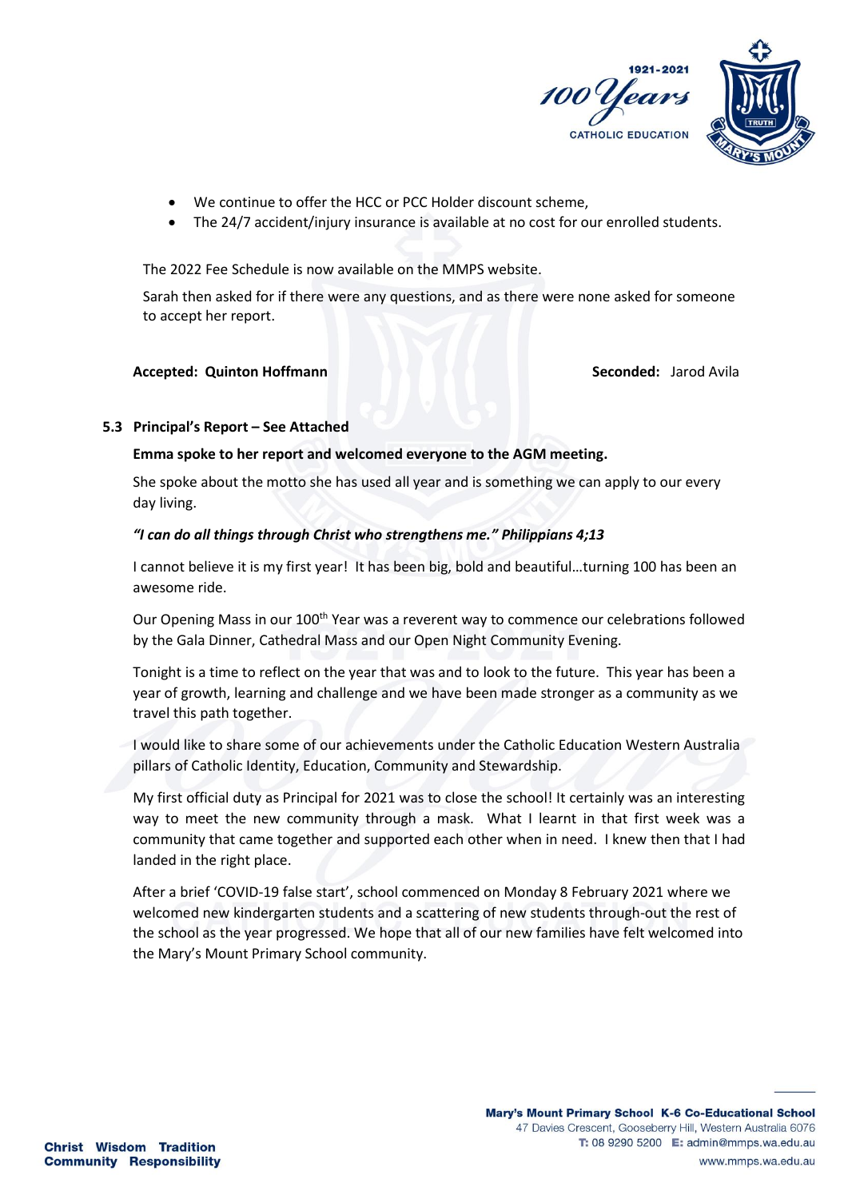

- We continue to offer the HCC or PCC Holder discount scheme,
- The 24/7 accident/injury insurance is available at no cost for our enrolled students.

The 2022 Fee Schedule is now available on the MMPS website.

Sarah then asked for if there were any questions, and as there were none asked for someone to accept her report.

## **Accepted: Quinton Hoffmann Seconded: Jarod Avila**

## **5.3 Principal's Report – See Attached**

## **Emma spoke to her report and welcomed everyone to the AGM meeting.**

She spoke about the motto she has used all year and is something we can apply to our every day living.

## *"I can do all things through Christ who strengthens me." Philippians 4;13*

I cannot believe it is my first year! It has been big, bold and beautiful…turning 100 has been an awesome ride.

Our Opening Mass in our 100<sup>th</sup> Year was a reverent way to commence our celebrations followed by the Gala Dinner, Cathedral Mass and our Open Night Community Evening.

Tonight is a time to reflect on the year that was and to look to the future. This year has been a year of growth, learning and challenge and we have been made stronger as a community as we travel this path together.

I would like to share some of our achievements under the Catholic Education Western Australia pillars of Catholic Identity, Education, Community and Stewardship.

My first official duty as Principal for 2021 was to close the school! It certainly was an interesting way to meet the new community through a mask. What I learnt in that first week was a community that came together and supported each other when in need. I knew then that I had landed in the right place.

After a brief 'COVID-19 false start', school commenced on Monday 8 February 2021 where we welcomed new kindergarten students and a scattering of new students through-out the rest of the school as the year progressed. We hope that all of our new families have felt welcomed into the Mary's Mount Primary School community.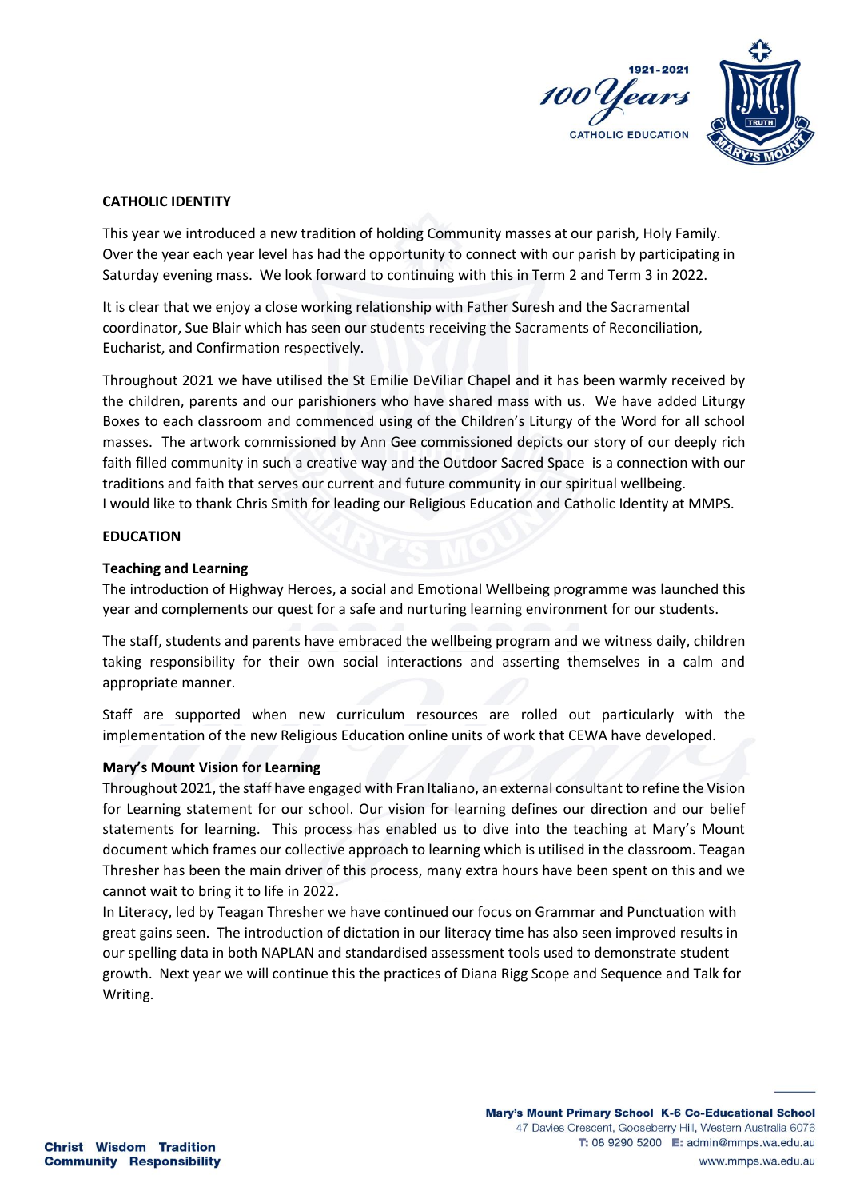

## **CATHOLIC IDENTITY**

This year we introduced a new tradition of holding Community masses at our parish, Holy Family. Over the year each year level has had the opportunity to connect with our parish by participating in Saturday evening mass. We look forward to continuing with this in Term 2 and Term 3 in 2022.

It is clear that we enjoy a close working relationship with Father Suresh and the Sacramental coordinator, Sue Blair which has seen our students receiving the Sacraments of Reconciliation, Eucharist, and Confirmation respectively.

Throughout 2021 we have utilised the St Emilie DeViliar Chapel and it has been warmly received by the children, parents and our parishioners who have shared mass with us. We have added Liturgy Boxes to each classroom and commenced using of the Children's Liturgy of the Word for all school masses. The artwork commissioned by Ann Gee commissioned depicts our story of our deeply rich faith filled community in such a creative way and the Outdoor Sacred Space is a connection with our traditions and faith that serves our current and future community in our spiritual wellbeing. I would like to thank Chris Smith for leading our Religious Education and Catholic Identity at MMPS.

## **EDUCATION**

#### **Teaching and Learning**

The introduction of Highway Heroes, a social and Emotional Wellbeing programme was launched this year and complements our quest for a safe and nurturing learning environment for our students.

The staff, students and parents have embraced the wellbeing program and we witness daily, children taking responsibility for their own social interactions and asserting themselves in a calm and appropriate manner.

Staff are supported when new curriculum resources are rolled out particularly with the implementation of the new Religious Education online units of work that CEWA have developed.

## **Mary's Mount Vision for Learning**

Throughout 2021, the staff have engaged with Fran Italiano, an external consultant to refine the Vision for Learning statement for our school. Our vision for learning defines our direction and our belief statements for learning. This process has enabled us to dive into the teaching at Mary's Mount document which frames our collective approach to learning which is utilised in the classroom. Teagan Thresher has been the main driver of this process, many extra hours have been spent on this and we cannot wait to bring it to life in 2022**.**

In Literacy, led by Teagan Thresher we have continued our focus on Grammar and Punctuation with great gains seen. The introduction of dictation in our literacy time has also seen improved results in our spelling data in both NAPLAN and standardised assessment tools used to demonstrate student growth. Next year we will continue this the practices of Diana Rigg Scope and Sequence and Talk for Writing.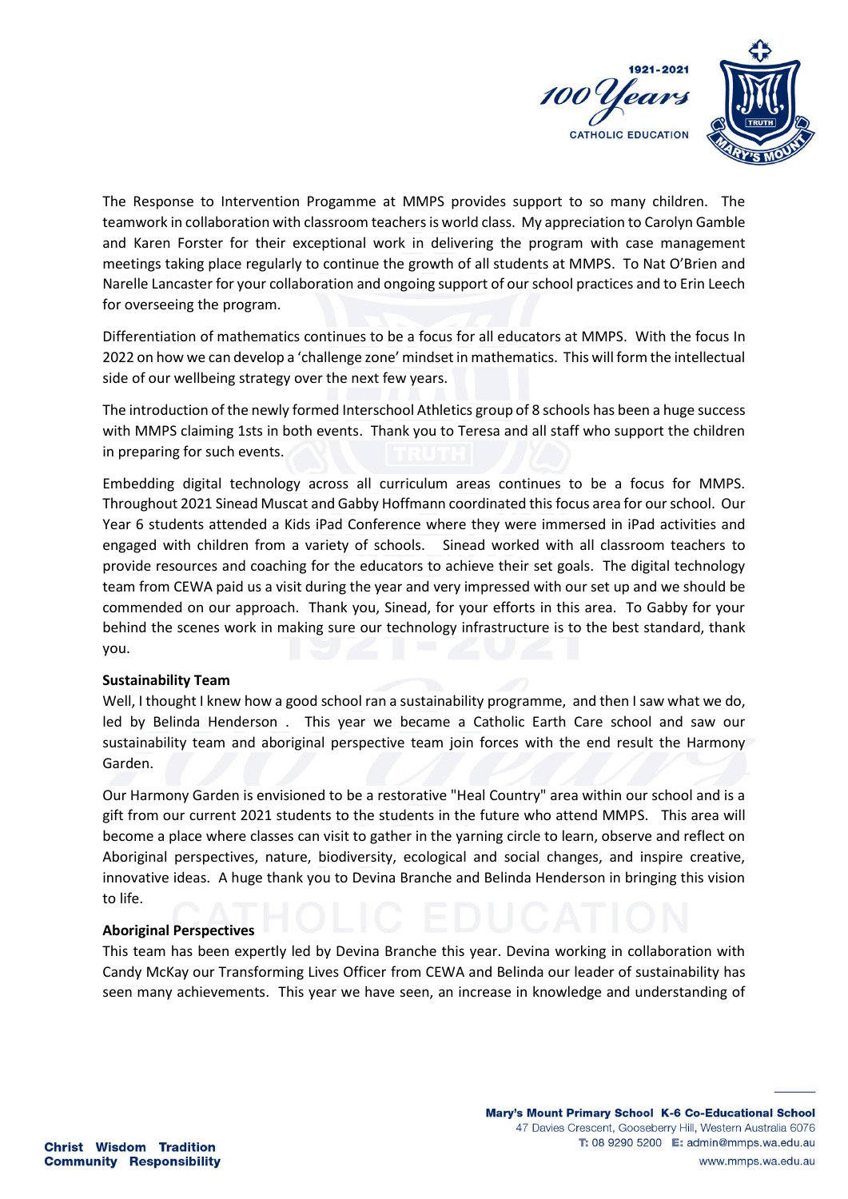

The Response to Intervention Progamme at MMPS provides support to so many children. The teamwork in collaboration with classroom teachersis world class. My appreciation to Carolyn Gamble and Karen Forster for their exceptional work in delivering the program with case management meetings taking place regularly to continue the growth of all students at MMPS. To Nat O'Brien and Narelle Lancaster for your collaboration and ongoing support of our school practices and to Erin Leech for overseeing the program.

Differentiation of mathematics continues to be a focus for all educators at MMPS. With the focus In 2022 on how we can develop a 'challenge zone' mindset in mathematics. This will form the intellectual side of our wellbeing strategy over the next few years.

The introduction of the newly formed Interschool Athletics group of 8 schools has been a huge success with MMPS claiming 1sts in both events. Thank you to Teresa and all staff who support the children in preparing for such events.

Embedding digital technology across all curriculum areas continues to be a focus for MMPS. Throughout 2021 Sinead Muscat and Gabby Hoffmann coordinated this focus area for our school. Our Year 6 students attended a Kids iPad Conference where they were immersed in iPad activities and engaged with children from a variety of schools. Sinead worked with all classroom teachers to provide resources and coaching for the educators to achieve their set goals. The digital technology team from CEWA paid us a visit during the year and very impressed with our set up and we should be commended on our approach. Thank you, Sinead, for your efforts in this area. To Gabby for your behind the scenes work in making sure our technology infrastructure is to the best standard, thank you.

#### **Sustainability Team**

Well, I thought I knew how a good school ran a sustainability programme, and then I saw what we do, led by Belinda Henderson . This year we became a Catholic Earth Care school and saw our sustainability team and aboriginal perspective team join forces with the end result the Harmony Garden.

Our Harmony Garden is envisioned to be a restorative "Heal Country" area within our school and is a gift from our current 2021 students to the students in the future who attend MMPS. This area will become a place where classes can visit to gather in the yarning circle to learn, observe and reflect on Aboriginal perspectives, nature, biodiversity, ecological and social changes, and inspire creative, innovative ideas. A huge thank you to Devina Branche and Belinda Henderson in bringing this vision to life.

#### **Aboriginal Perspectives**

This team has been expertly led by Devina Branche this year. Devina working in collaboration with Candy McKay our Transforming Lives Officer from CEWA and Belinda our leader of sustainability has seen many achievements. This year we have seen, an increase in knowledge and understanding of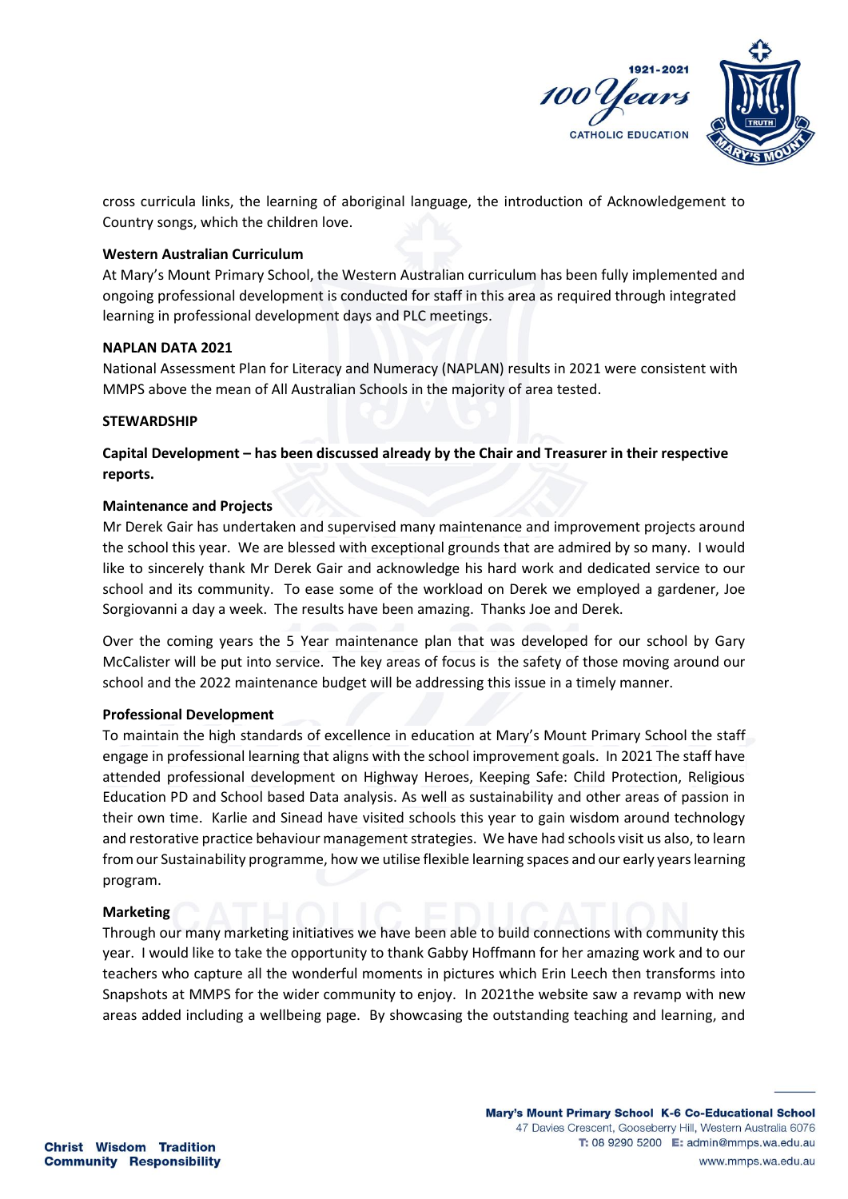

cross curricula links, the learning of aboriginal language, the introduction of Acknowledgement to Country songs, which the children love.

#### **Western Australian Curriculum**

At Mary's Mount Primary School, the Western Australian curriculum has been fully implemented and ongoing professional development is conducted for staff in this area as required through integrated learning in professional development days and PLC meetings.

#### **NAPLAN DATA 2021**

National Assessment Plan for Literacy and Numeracy (NAPLAN) results in 2021 were consistent with MMPS above the mean of All Australian Schools in the majority of area tested.

#### **STEWARDSHIP**

**Capital Development – has been discussed already by the Chair and Treasurer in their respective reports.**

#### **Maintenance and Projects**

Mr Derek Gair has undertaken and supervised many maintenance and improvement projects around the school this year. We are blessed with exceptional grounds that are admired by so many. I would like to sincerely thank Mr Derek Gair and acknowledge his hard work and dedicated service to our school and its community. To ease some of the workload on Derek we employed a gardener, Joe Sorgiovanni a day a week. The results have been amazing. Thanks Joe and Derek.

Over the coming years the 5 Year maintenance plan that was developed for our school by Gary McCalister will be put into service. The key areas of focus is the safety of those moving around our school and the 2022 maintenance budget will be addressing this issue in a timely manner.

## **Professional Development**

To maintain the high standards of excellence in education at Mary's Mount Primary School the staff engage in professional learning that aligns with the school improvement goals. In 2021 The staff have attended professional development on Highway Heroes, Keeping Safe: Child Protection, Religious Education PD and School based Data analysis. As well as sustainability and other areas of passion in their own time. Karlie and Sinead have visited schools this year to gain wisdom around technology and restorative practice behaviour management strategies. We have had schools visit us also, to learn from our Sustainability programme, how we utilise flexible learning spaces and our early years learning program.

## **Marketing**

Through our many marketing initiatives we have been able to build connections with community this year. I would like to take the opportunity to thank Gabby Hoffmann for her amazing work and to our teachers who capture all the wonderful moments in pictures which Erin Leech then transforms into Snapshots at MMPS for the wider community to enjoy. In 2021the website saw a revamp with new areas added including a wellbeing page. By showcasing the outstanding teaching and learning, and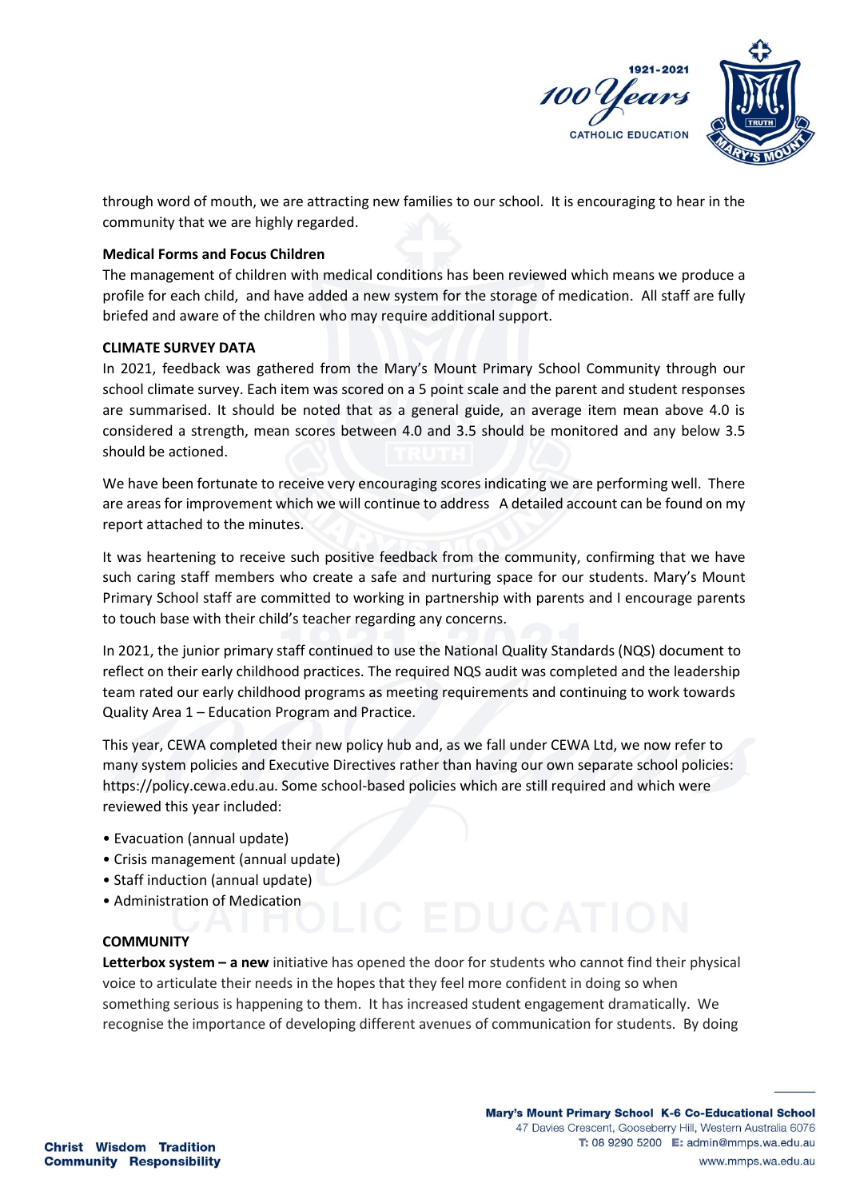

through word of mouth, we are attracting new families to our school. It is encouraging to hear in the community that we are highly regarded.

## **Medical Forms and Focus Children**

The management of children with medical conditions has been reviewed which means we produce a profile for each child, and have added a new system for the storage of medication. All staff are fully briefed and aware of the children who may require additional support.

#### **CLIMATE SURVEY DATA**

In 2021, feedback was gathered from the Mary's Mount Primary School Community through our school climate survey. Each item was scored on a 5 point scale and the parent and student responses are summarised. It should be noted that as a general guide, an average item mean above 4.0 is considered a strength, mean scores between 4.0 and 3.5 should be monitored and any below 3.5 should be actioned.

We have been fortunate to receive very encouraging scores indicating we are performing well. There are areas for improvement which we will continue to address A detailed account can be found on my report attached to the minutes.

It was heartening to receive such positive feedback from the community, confirming that we have such caring staff members who create a safe and nurturing space for our students. Mary's Mount Primary School staff are committed to working in partnership with parents and I encourage parents to touch base with their child's teacher regarding any concerns.

In 2021, the junior primary staff continued to use the National Quality Standards (NQS) document to reflect on their early childhood practices. The required NQS audit was completed and the leadership team rated our early childhood programs as meeting requirements and continuing to work towards Quality Area 1 – Education Program and Practice.

This year, CEWA completed their new policy hub and, as we fall under CEWA Ltd, we now refer to many system policies and Executive Directives rather than having our own separate school policies: https://policy.cewa.edu.au. Some school-based policies which are still required and which were reviewed this year included:

- Evacuation (annual update)
- Crisis management (annual update)
- Staff induction (annual update)
- Administration of Medication

#### **COMMUNITY**

**Letterbox system – a new** initiative has opened the door for students who cannot find their physical voice to articulate their needs in the hopes that they feel more confident in doing so when something serious is happening to them. It has increased student engagement dramatically. We recognise the importance of developing different avenues of communication for students. By doing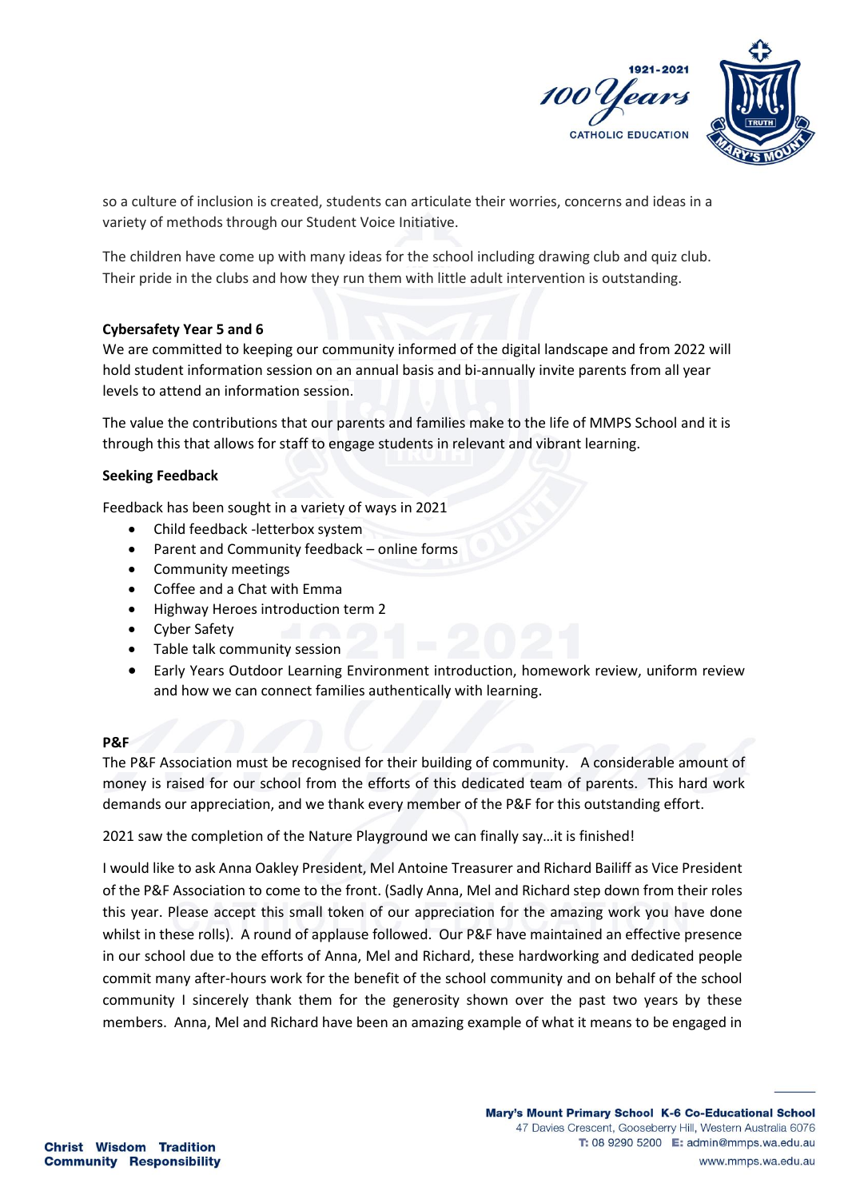

so a culture of inclusion is created, students can articulate their worries, concerns and ideas in a variety of methods through our Student Voice Initiative.

The children have come up with many ideas for the school including drawing club and quiz club. Their pride in the clubs and how they run them with little adult intervention is outstanding.

## **Cybersafety Year 5 and 6**

We are committed to keeping our community informed of the digital landscape and from 2022 will hold student information session on an annual basis and bi-annually invite parents from all year levels to attend an information session.

The value the contributions that our parents and families make to the life of MMPS School and it is through this that allows for staff to engage students in relevant and vibrant learning.

## **Seeking Feedback**

Feedback has been sought in a variety of ways in 2021

- Child feedback -letterbox system
- Parent and Community feedback online forms
- Community meetings
- Coffee and a Chat with Emma
- Highway Heroes introduction term 2
- Cyber Safety
- Table talk community session
- Early Years Outdoor Learning Environment introduction, homework review, uniform review and how we can connect families authentically with learning.

## **P&F**

The P&F Association must be recognised for their building of community. A considerable amount of money is raised for our school from the efforts of this dedicated team of parents. This hard work demands our appreciation, and we thank every member of the P&F for this outstanding effort.

2021 saw the completion of the Nature Playground we can finally say…it is finished!

I would like to ask Anna Oakley President, Mel Antoine Treasurer and Richard Bailiff as Vice President of the P&F Association to come to the front. (Sadly Anna, Mel and Richard step down from their roles this year. Please accept this small token of our appreciation for the amazing work you have done whilst in these rolls). A round of applause followed. Our P&F have maintained an effective presence in our school due to the efforts of Anna, Mel and Richard, these hardworking and dedicated people commit many after-hours work for the benefit of the school community and on behalf of the school community I sincerely thank them for the generosity shown over the past two years by these members. Anna, Mel and Richard have been an amazing example of what it means to be engaged in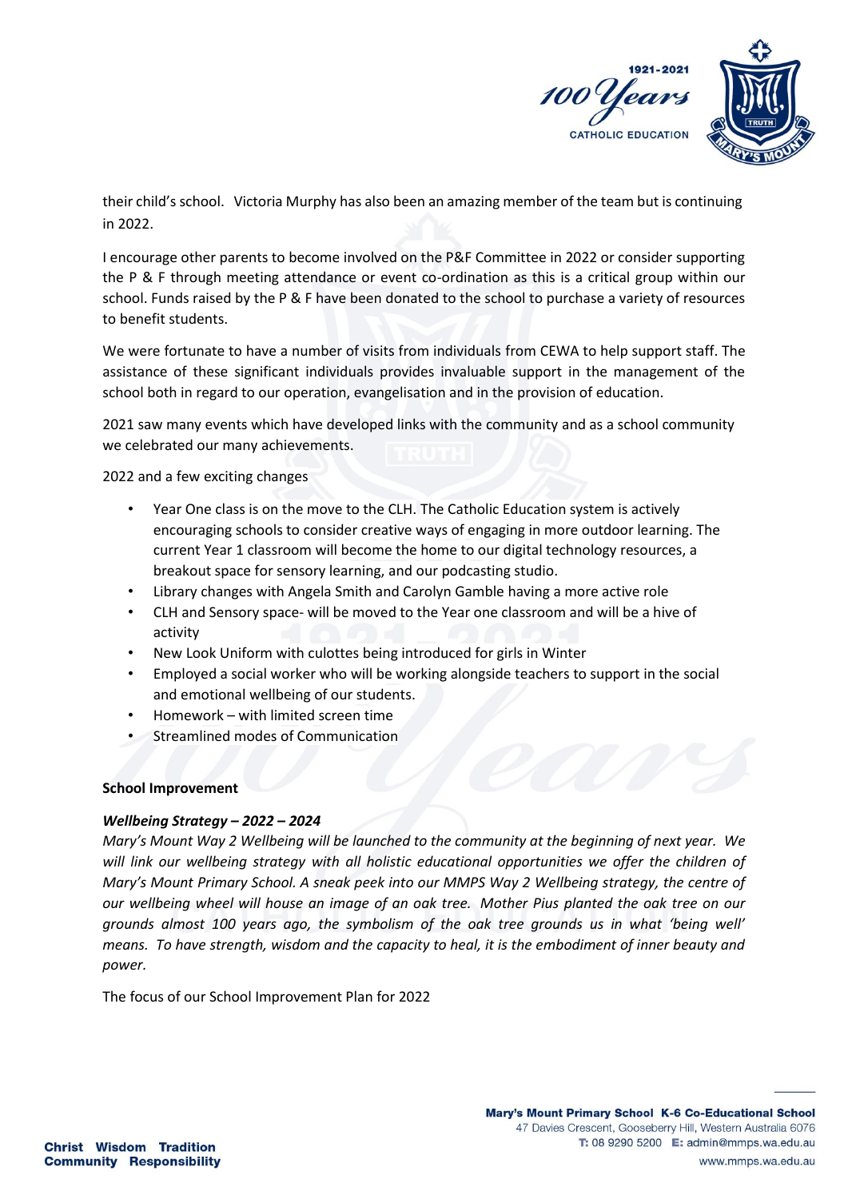

their child's school. Victoria Murphy has also been an amazing member of the team but is continuing in 2022.

I encourage other parents to become involved on the P&F Committee in 2022 or consider supporting the P & F through meeting attendance or event co-ordination as this is a critical group within our school. Funds raised by the P & F have been donated to the school to purchase a variety of resources to benefit students.

We were fortunate to have a number of visits from individuals from CEWA to help support staff. The assistance of these significant individuals provides invaluable support in the management of the school both in regard to our operation, evangelisation and in the provision of education.

2021 saw many events which have developed links with the community and as a school community we celebrated our many achievements.

2022 and a few exciting changes

- Year One class is on the move to the CLH. The Catholic Education system is actively encouraging schools to consider creative ways of engaging in more outdoor learning. The current Year 1 classroom will become the home to our digital technology resources, a breakout space for sensory learning, and our podcasting studio.
- Library changes with Angela Smith and Carolyn Gamble having a more active role
- CLH and Sensory space- will be moved to the Year one classroom and will be a hive of activity
- New Look Uniform with culottes being introduced for girls in Winter
- Employed a social worker who will be working alongside teachers to support in the social and emotional wellbeing of our students.
- Homework with limited screen time
- Streamlined modes of Communication

## **School Improvement**

## *Wellbeing Strategy – 2022 – 2024*

*Mary's Mount Way 2 Wellbeing will be launched to the community at the beginning of next year. We will link our wellbeing strategy with all holistic educational opportunities we offer the children of Mary's Mount Primary School. A sneak peek into our MMPS Way 2 Wellbeing strategy, the centre of our wellbeing wheel will house an image of an oak tree. Mother Pius planted the oak tree on our grounds almost 100 years ago, the symbolism of the oak tree grounds us in what 'being well' means. To have strength, wisdom and the capacity to heal, it is the embodiment of inner beauty and power.*

The focus of our School Improvement Plan for 2022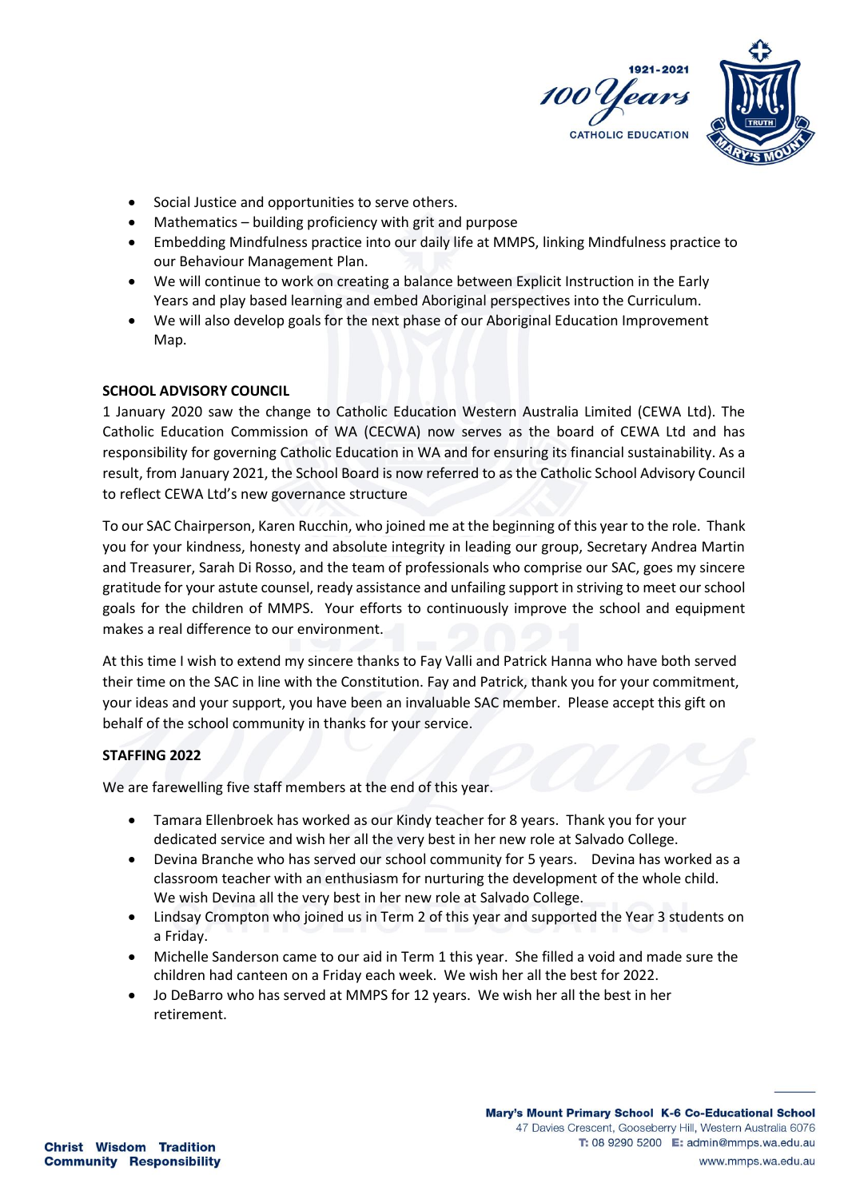

- Social Justice and opportunities to serve others.
- Mathematics building proficiency with grit and purpose
- Embedding Mindfulness practice into our daily life at MMPS, linking Mindfulness practice to our Behaviour Management Plan.
- We will continue to work on creating a balance between Explicit Instruction in the Early Years and play based learning and embed Aboriginal perspectives into the Curriculum.
- We will also develop goals for the next phase of our Aboriginal Education Improvement Map.

## **SCHOOL ADVISORY COUNCIL**

1 January 2020 saw the change to Catholic Education Western Australia Limited (CEWA Ltd). The Catholic Education Commission of WA (CECWA) now serves as the board of CEWA Ltd and has responsibility for governing Catholic Education in WA and for ensuring its financial sustainability. As a result, from January 2021, the School Board is now referred to as the Catholic School Advisory Council to reflect CEWA Ltd's new governance structure

To our SAC Chairperson, Karen Rucchin, who joined me at the beginning of this year to the role. Thank you for your kindness, honesty and absolute integrity in leading our group, Secretary Andrea Martin and Treasurer, Sarah Di Rosso, and the team of professionals who comprise our SAC, goes my sincere gratitude for your astute counsel, ready assistance and unfailing support in striving to meet our school goals for the children of MMPS. Your efforts to continuously improve the school and equipment makes a real difference to our environment.

At this time I wish to extend my sincere thanks to Fay Valli and Patrick Hanna who have both served their time on the SAC in line with the Constitution. Fay and Patrick, thank you for your commitment, your ideas and your support, you have been an invaluable SAC member. Please accept this gift on behalf of the school community in thanks for your service.

## **STAFFING 2022**

We are farewelling five staff members at the end of this year.

- Tamara Ellenbroek has worked as our Kindy teacher for 8 years. Thank you for your dedicated service and wish her all the very best in her new role at Salvado College.
- Devina Branche who has served our school community for 5 years. Devina has worked as a classroom teacher with an enthusiasm for nurturing the development of the whole child. We wish Devina all the very best in her new role at Salvado College.
- Lindsay Crompton who joined us in Term 2 of this year and supported the Year 3 students on a Friday.
- Michelle Sanderson came to our aid in Term 1 this year. She filled a void and made sure the children had canteen on a Friday each week. We wish her all the best for 2022.
- Jo DeBarro who has served at MMPS for 12 years. We wish her all the best in her retirement.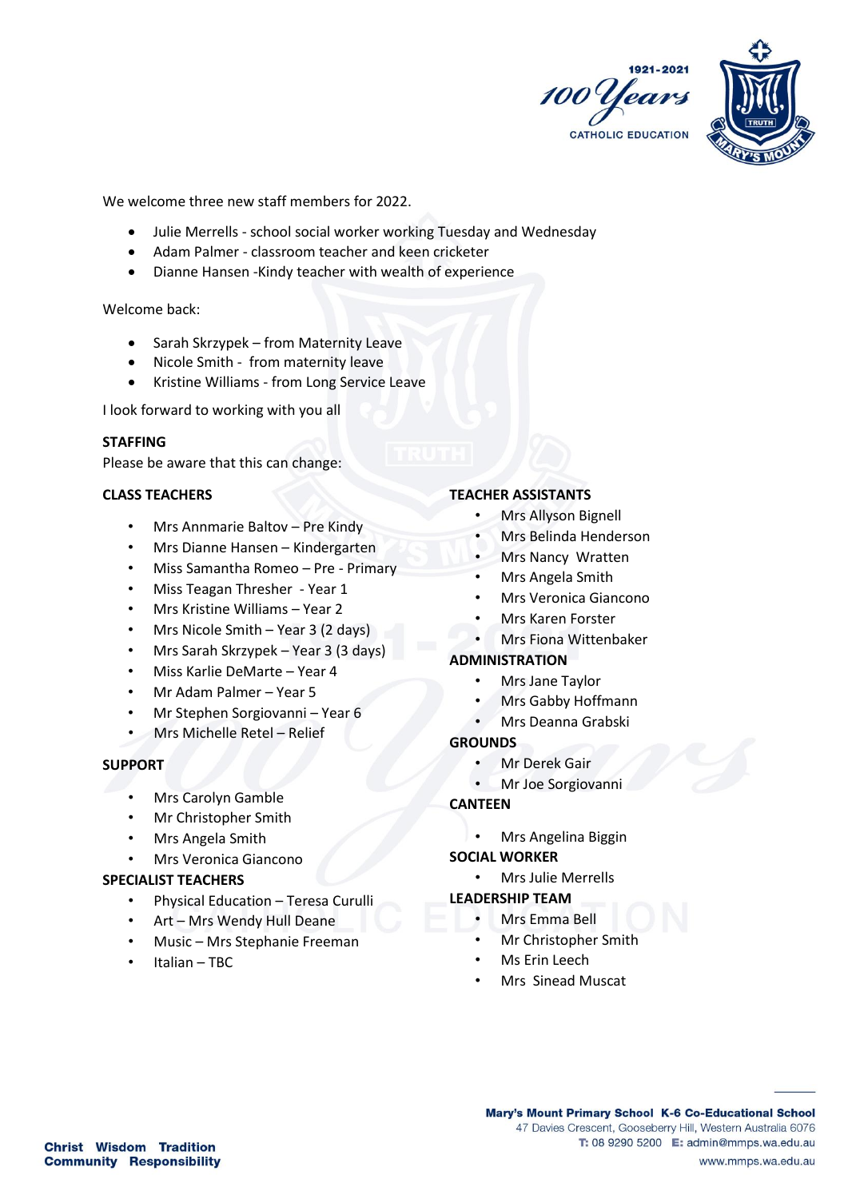



We welcome three new staff members for 2022.

- Julie Merrells school social worker working Tuesday and Wednesday
- Adam Palmer classroom teacher and keen cricketer
- Dianne Hansen -Kindy teacher with wealth of experience

Welcome back:

- Sarah Skrzypek from Maternity Leave
- Nicole Smith from maternity leave
- Kristine Williams from Long Service Leave

I look forward to working with you all

#### **STAFFING**

Please be aware that this can change:

#### **CLASS TEACHERS**

- Mrs Annmarie Baltov Pre Kindy
- Mrs Dianne Hansen Kindergarten
- Miss Samantha Romeo Pre Primary
- Miss Teagan Thresher Year 1
- Mrs Kristine Williams Year 2
- Mrs Nicole Smith Year 3 (2 days)
- Mrs Sarah Skrzypek Year 3 (3 days)
- Miss Karlie DeMarte Year 4
- Mr Adam Palmer Year 5
- Mr Stephen Sorgiovanni Year 6
- Mrs Michelle Retel Relief

## **SUPPORT**

- Mrs Carolyn Gamble
- Mr Christopher Smith
- Mrs Angela Smith
- Mrs Veronica Giancono

## **SPECIALIST TEACHERS**

- Physical Education Teresa Curulli
- Art Mrs Wendy Hull Deane
- Music Mrs Stephanie Freeman
- Italian TBC

#### **TEACHER ASSISTANTS**

- Mrs Allyson Bignell
- Mrs Belinda Henderson
- Mrs Nancy Wratten
- Mrs Angela Smith
	- Mrs Veronica Giancono
- Mrs Karen Forster
- Mrs Fiona Wittenbaker

## **ADMINISTRATION**

- Mrs Jane Taylor
- Mrs Gabby Hoffmann
- Mrs Deanna Grabski

#### **GROUNDS**

- Mr Derek Gair
- Mr Joe Sorgiovanni

# **CANTEEN**

• Mrs Angelina Biggin

## **SOCIAL WORKER**

• Mrs Julie Merrells

#### **LEADERSHIP TEAM**

- Mrs Emma Bell
- Mr Christopher Smith
- Ms Frin Leech
- Mrs Sinead Muscat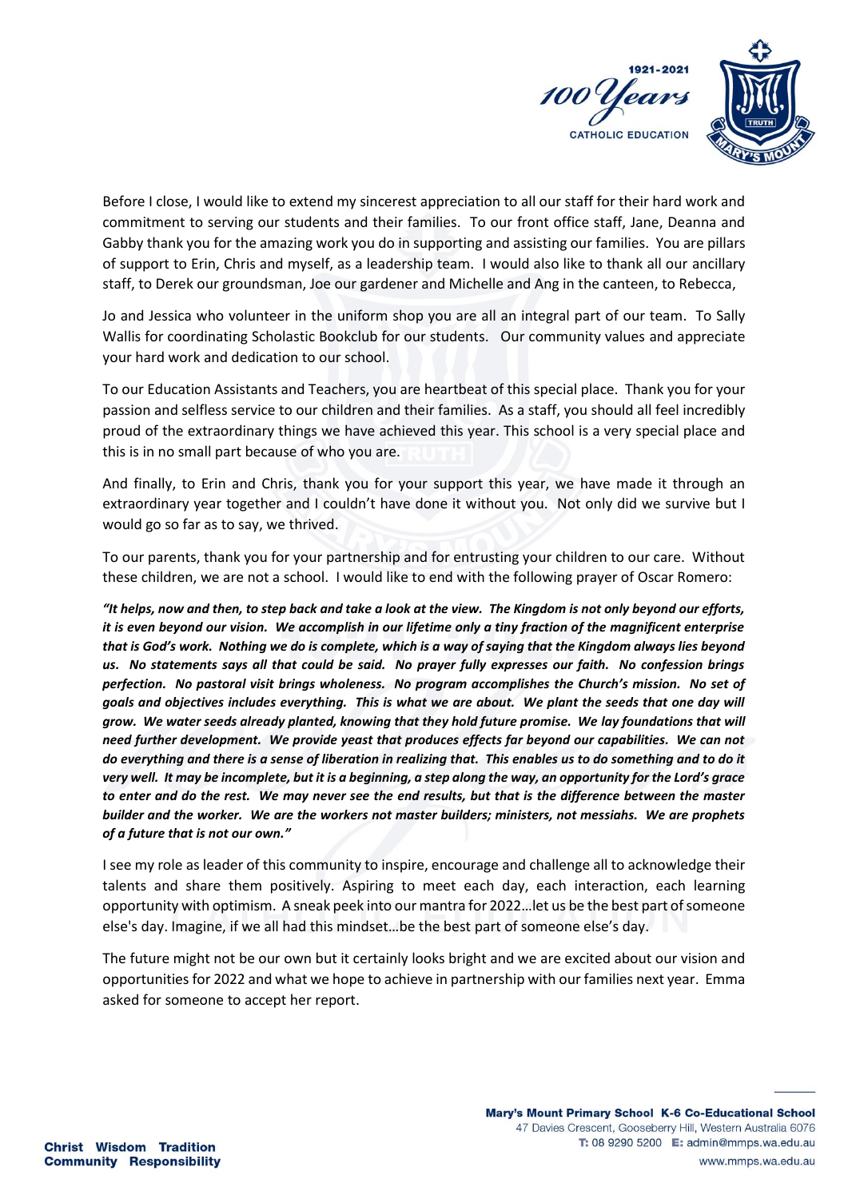

Before I close, I would like to extend my sincerest appreciation to all our staff for their hard work and commitment to serving our students and their families. To our front office staff, Jane, Deanna and Gabby thank you for the amazing work you do in supporting and assisting our families. You are pillars of support to Erin, Chris and myself, as a leadership team. I would also like to thank all our ancillary staff, to Derek our groundsman, Joe our gardener and Michelle and Ang in the canteen, to Rebecca,

Jo and Jessica who volunteer in the uniform shop you are all an integral part of our team. To Sally Wallis for coordinating Scholastic Bookclub for our students. Our community values and appreciate your hard work and dedication to our school.

To our Education Assistants and Teachers, you are heartbeat of this special place. Thank you for your passion and selfless service to our children and their families. As a staff, you should all feel incredibly proud of the extraordinary things we have achieved this year. This school is a very special place and this is in no small part because of who you are.

And finally, to Erin and Chris, thank you for your support this year, we have made it through an extraordinary year together and I couldn't have done it without you. Not only did we survive but I would go so far as to say, we thrived.

To our parents, thank you for your partnership and for entrusting your children to our care. Without these children, we are not a school. I would like to end with the following prayer of Oscar Romero:

*"It helps, now and then, to step back and take a look at the view. The Kingdom is not only beyond our efforts, it is even beyond our vision. We accomplish in our lifetime only a tiny fraction of the magnificent enterprise that is God's work. Nothing we do is complete, which is a way of saying that the Kingdom always lies beyond us. No statements says all that could be said. No prayer fully expresses our faith. No confession brings perfection. No pastoral visit brings wholeness. No program accomplishes the Church's mission. No set of goals and objectives includes everything. This is what we are about. We plant the seeds that one day will grow. We water seeds already planted, knowing that they hold future promise. We lay foundations that will need further development. We provide yeast that produces effects far beyond our capabilities. We can not do everything and there is a sense of liberation in realizing that. This enables us to do something and to do it very well. It may be incomplete, but it is a beginning, a step along the way, an opportunity for the Lord's grace to enter and do the rest. We may never see the end results, but that is the difference between the master builder and the worker. We are the workers not master builders; ministers, not messiahs. We are prophets of a future that is not our own."*

I see my role as leader of this community to inspire, encourage and challenge all to acknowledge their talents and share them positively. Aspiring to meet each day, each interaction, each learning opportunity with optimism. A sneak peek into our mantra for 2022…let us be the best part of someone else's day. Imagine, if we all had this mindset…be the best part of someone else's day.

The future might not be our own but it certainly looks bright and we are excited about our vision and opportunities for 2022 and what we hope to achieve in partnership with our families next year. Emma asked for someone to accept her report.